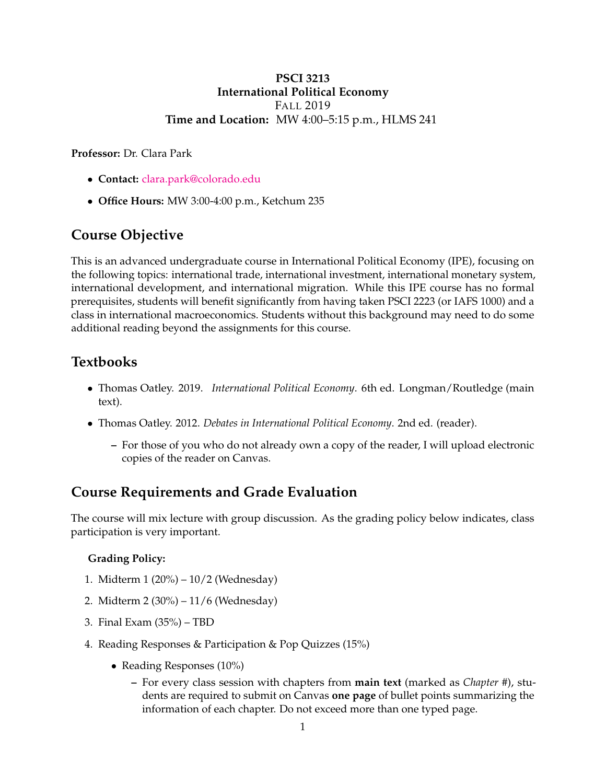#### **PSCI 3213 International Political Economy** FALL 2019 **Time and Location:** MW 4:00–5:15 p.m., HLMS 241

**Professor:** Dr. Clara Park

- **Contact:** [clara.park@colorado.edu](mailto:clara.park@colorado.edu)
- **Office Hours:** MW 3:00-4:00 p.m., Ketchum 235

# **Course Objective**

This is an advanced undergraduate course in International Political Economy (IPE), focusing on the following topics: international trade, international investment, international monetary system, international development, and international migration. While this IPE course has no formal prerequisites, students will benefit significantly from having taken PSCI 2223 (or IAFS 1000) and a class in international macroeconomics. Students without this background may need to do some additional reading beyond the assignments for this course.

# **Textbooks**

- Thomas Oatley. 2019. *International Political Economy*. 6th ed. Longman/Routledge (main text).
- Thomas Oatley. 2012. *Debates in International Political Economy*. 2nd ed. (reader).
	- **–** For those of you who do not already own a copy of the reader, I will upload electronic copies of the reader on Canvas.

# **Course Requirements and Grade Evaluation**

The course will mix lecture with group discussion. As the grading policy below indicates, class participation is very important.

## **Grading Policy:**

- 1. Midterm 1 (20%) 10/2 (Wednesday)
- 2. Midterm 2 (30%) 11/6 (Wednesday)
- 3. Final Exam (35%) TBD
- 4. Reading Responses & Participation & Pop Quizzes (15%)
	- Reading Responses (10%)
		- **–** For every class session with chapters from **main text** (marked as *Chapter #*), students are required to submit on Canvas **one page** of bullet points summarizing the information of each chapter. Do not exceed more than one typed page.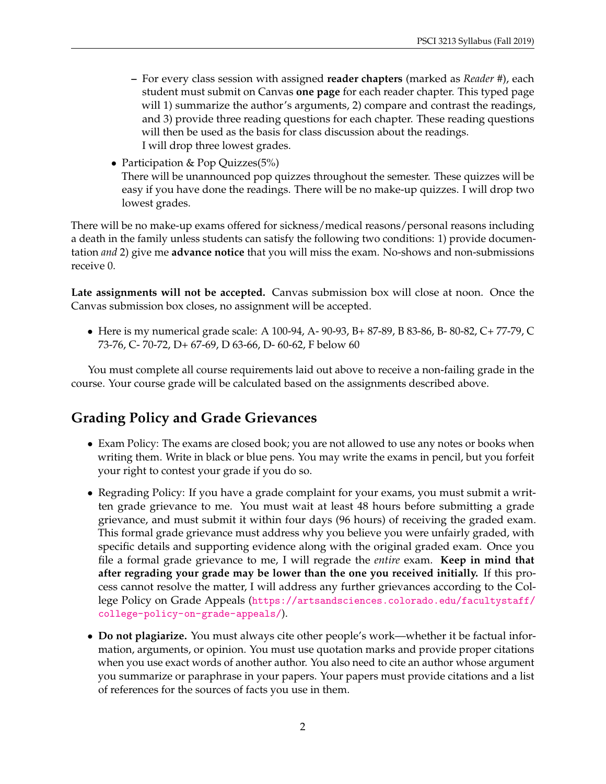- **–** For every class session with assigned **reader chapters** (marked as *Reader #*), each student must submit on Canvas **one page** for each reader chapter. This typed page will 1) summarize the author's arguments, 2) compare and contrast the readings, and 3) provide three reading questions for each chapter. These reading questions will then be used as the basis for class discussion about the readings. I will drop three lowest grades.
- Participation & Pop Quizzes(5%) There will be unannounced pop quizzes throughout the semester. These quizzes will be easy if you have done the readings. There will be no make-up quizzes. I will drop two lowest grades.

There will be no make-up exams offered for sickness/medical reasons/personal reasons including a death in the family unless students can satisfy the following two conditions: 1) provide documentation *and* 2) give me **advance notice** that you will miss the exam. No-shows and non-submissions receive 0.

**Late assignments will not be accepted.** Canvas submission box will close at noon. Once the Canvas submission box closes, no assignment will be accepted.

• Here is my numerical grade scale: A 100-94, A- 90-93, B+ 87-89, B 83-86, B- 80-82, C+ 77-79, C 73-76, C- 70-72, D+ 67-69, D 63-66, D- 60-62, F below 60

You must complete all course requirements laid out above to receive a non-failing grade in the course. Your course grade will be calculated based on the assignments described above.

# **Grading Policy and Grade Grievances**

- Exam Policy: The exams are closed book; you are not allowed to use any notes or books when writing them. Write in black or blue pens. You may write the exams in pencil, but you forfeit your right to contest your grade if you do so.
- Regrading Policy: If you have a grade complaint for your exams, you must submit a written grade grievance to me. You must wait at least 48 hours before submitting a grade grievance, and must submit it within four days (96 hours) of receiving the graded exam. This formal grade grievance must address why you believe you were unfairly graded, with specific details and supporting evidence along with the original graded exam. Once you file a formal grade grievance to me, I will regrade the *entire* exam. **Keep in mind that after regrading your grade may be lower than the one you received initially.** If this process cannot resolve the matter, I will address any further grievances according to the College Policy on Grade Appeals ([https://artsandsciences.colorado.edu/facultystaff/](https://artsandsciences.colorado.edu/facultystaff/college-policy-on-grade-appeals/) [college-policy-on-grade-appeals/](https://artsandsciences.colorado.edu/facultystaff/college-policy-on-grade-appeals/)).
- **Do not plagiarize.** You must always cite other people's work—whether it be factual information, arguments, or opinion. You must use quotation marks and provide proper citations when you use exact words of another author. You also need to cite an author whose argument you summarize or paraphrase in your papers. Your papers must provide citations and a list of references for the sources of facts you use in them.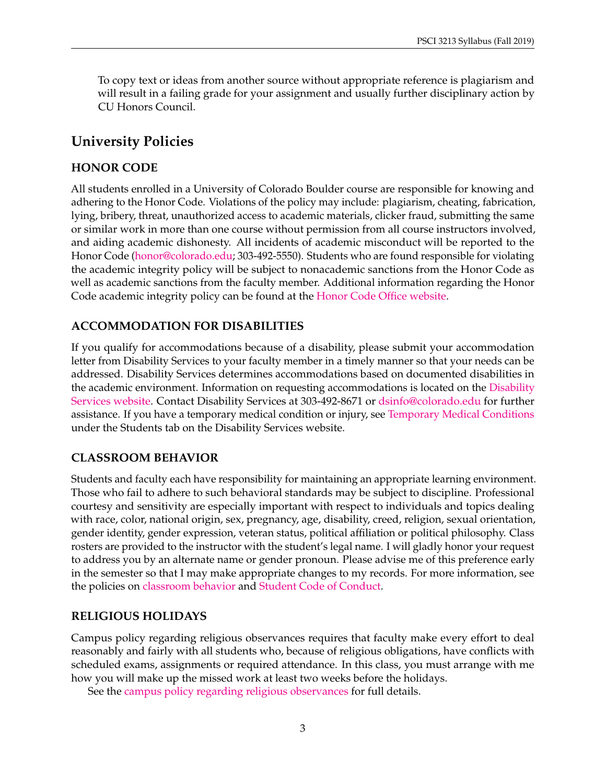To copy text or ideas from another source without appropriate reference is plagiarism and will result in a failing grade for your assignment and usually further disciplinary action by CU Honors Council.

## **University Policies**

#### **HONOR CODE**

All students enrolled in a University of Colorado Boulder course are responsible for knowing and adhering to the Honor Code. Violations of the policy may include: plagiarism, cheating, fabrication, lying, bribery, threat, unauthorized access to academic materials, clicker fraud, submitting the same or similar work in more than one course without permission from all course instructors involved, and aiding academic dishonesty. All incidents of academic misconduct will be reported to the Honor Code [\(honor@colorado.edu;](mailto:honor@colorado.edu) 303-492-5550). Students who are found responsible for violating the academic integrity policy will be subject to nonacademic sanctions from the Honor Code as well as academic sanctions from the faculty member. Additional information regarding the Honor Code academic integrity policy can be found at the [Honor Code Office website.](https://www.colorado.edu/osccr/honor-code)

## **ACCOMMODATION FOR DISABILITIES**

If you qualify for accommodations because of a disability, please submit your accommodation letter from Disability Services to your faculty member in a timely manner so that your needs can be addressed. Disability Services determines accommodations based on documented disabilities in the academic environment. Information on requesting accommodations is located on the [Disability](https://www.colorado.edu/disabilityservices/students) [Services website.](https://www.colorado.edu/disabilityservices/students) Contact Disability Services at 303-492-8671 or [dsinfo@colorado.edu](mailto:dsinfo@colorado.edu) for further assistance. If you have a temporary medical condition or injury, see [Temporary Medical Conditions](https://www.colorado.edu/disabilityservices/students/temporary-medical-conditions) under the Students tab on the Disability Services website.

## **CLASSROOM BEHAVIOR**

Students and faculty each have responsibility for maintaining an appropriate learning environment. Those who fail to adhere to such behavioral standards may be subject to discipline. Professional courtesy and sensitivity are especially important with respect to individuals and topics dealing with race, color, national origin, sex, pregnancy, age, disability, creed, religion, sexual orientation, gender identity, gender expression, veteran status, political affiliation or political philosophy. Class rosters are provided to the instructor with the student's legal name. I will gladly honor your request to address you by an alternate name or gender pronoun. Please advise me of this preference early in the semester so that I may make appropriate changes to my records. For more information, see the policies on [classroom behavior](https://www.colorado.edu/policies/student-classroom-and-course-related-behavior) and [Student Code of Conduct.](https://www.colorado.edu/osccr/)

#### **RELIGIOUS HOLIDAYS**

Campus policy regarding religious observances requires that faculty make every effort to deal reasonably and fairly with all students who, because of religious obligations, have conflicts with scheduled exams, assignments or required attendance. In this class, you must arrange with me how you will make up the missed work at least two weeks before the holidays.

See the [campus policy regarding religious observances](https://www.colorado.edu/policies/observance-religious-holidays-and-absences-classes-andor-exams) for full details.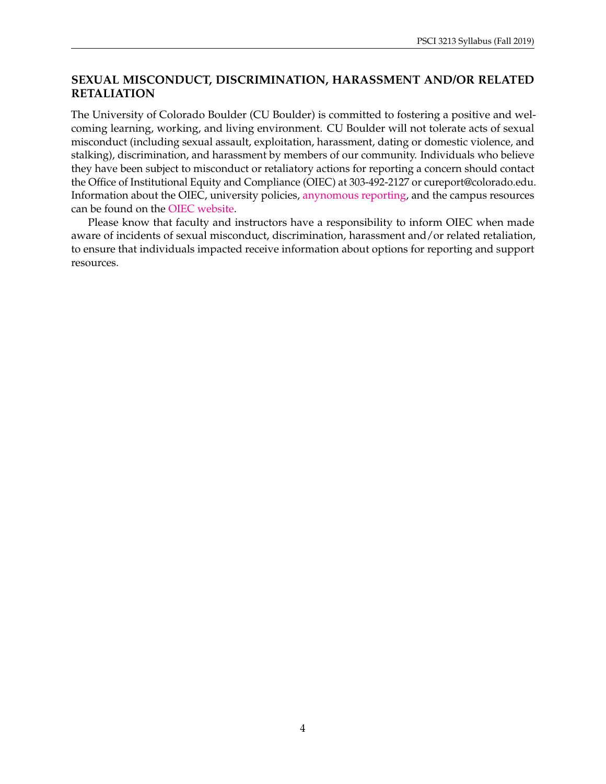## **SEXUAL MISCONDUCT, DISCRIMINATION, HARASSMENT AND/OR RELATED RETALIATION**

The University of Colorado Boulder (CU Boulder) is committed to fostering a positive and welcoming learning, working, and living environment. CU Boulder will not tolerate acts of sexual misconduct (including sexual assault, exploitation, harassment, dating or domestic violence, and stalking), discrimination, and harassment by members of our community. Individuals who believe they have been subject to misconduct or retaliatory actions for reporting a concern should contact the Office of Institutional Equity and Compliance (OIEC) at 303-492-2127 or cureport@colorado.edu. Information about the OIEC, university policies, [anynomous reporting,](https://cuboulder.qualtrics.com/jfe/form/SV_0PnqVK4kkIJIZnf) and the campus resources can be found on the [OIEC website.](https://www.colorado.edu/institutionalequity/)

Please know that faculty and instructors have a responsibility to inform OIEC when made aware of incidents of sexual misconduct, discrimination, harassment and/or related retaliation, to ensure that individuals impacted receive information about options for reporting and support resources.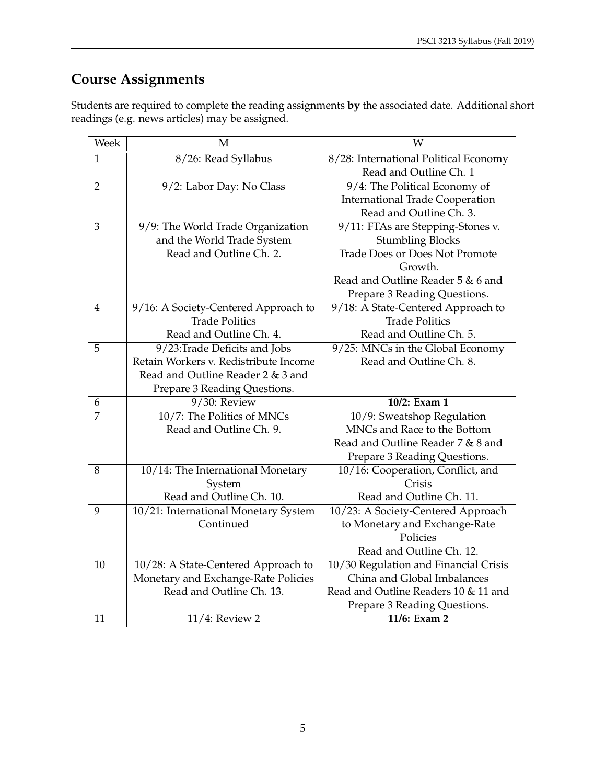# **Course Assignments**

Students are required to complete the reading assignments **by** the associated date. Additional short readings (e.g. news articles) may be assigned.

| Week           | M                                     | W                                      |
|----------------|---------------------------------------|----------------------------------------|
| $\mathbf{1}$   | 8/26: Read Syllabus                   | 8/28: International Political Economy  |
|                |                                       | Read and Outline Ch. 1                 |
| $\overline{2}$ | 9/2: Labor Day: No Class              | 9/4: The Political Economy of          |
|                |                                       | <b>International Trade Cooperation</b> |
|                |                                       | Read and Outline Ch. 3.                |
| 3              | 9/9: The World Trade Organization     | 9/11: FTAs are Stepping-Stones v.      |
|                | and the World Trade System            | <b>Stumbling Blocks</b>                |
|                | Read and Outline Ch. 2.               | <b>Trade Does or Does Not Promote</b>  |
|                |                                       | Growth.                                |
|                |                                       | Read and Outline Reader 5 & 6 and      |
|                |                                       | Prepare 3 Reading Questions.           |
| $\overline{4}$ | 9/16: A Society-Centered Approach to  | 9/18: A State-Centered Approach to     |
|                | <b>Trade Politics</b>                 | <b>Trade Politics</b>                  |
|                | Read and Outline Ch. 4.               | Read and Outline Ch. 5.                |
| 5              | 9/23: Trade Deficits and Jobs         | 9/25: MNCs in the Global Economy       |
|                | Retain Workers v. Redistribute Income | Read and Outline Ch. 8.                |
|                | Read and Outline Reader 2 & 3 and     |                                        |
|                | Prepare 3 Reading Questions.          |                                        |
| 6              | 9/30: Review                          | 10/2: Exam 1                           |
| 7              | 10/7: The Politics of MNCs            | 10/9: Sweatshop Regulation             |
|                | Read and Outline Ch. 9.               | MNCs and Race to the Bottom            |
|                |                                       | Read and Outline Reader 7 & 8 and      |
|                |                                       | Prepare 3 Reading Questions.           |
| 8              | 10/14: The International Monetary     | 10/16: Cooperation, Conflict, and      |
|                | System                                | Crisis                                 |
|                | Read and Outline Ch. 10.              | Read and Outline Ch. 11.               |
| 9              | 10/21: International Monetary System  | 10/23: A Society-Centered Approach     |
|                | Continued                             | to Monetary and Exchange-Rate          |
|                |                                       | Policies                               |
|                |                                       | Read and Outline Ch. 12.               |
| 10             | 10/28: A State-Centered Approach to   | 10/30 Regulation and Financial Crisis  |
|                | Monetary and Exchange-Rate Policies   | China and Global Imbalances            |
|                | Read and Outline Ch. 13.              | Read and Outline Readers 10 & 11 and   |
|                |                                       | Prepare 3 Reading Questions.           |
| 11             | $11/4$ : Review 2                     | 11/6: Exam 2                           |